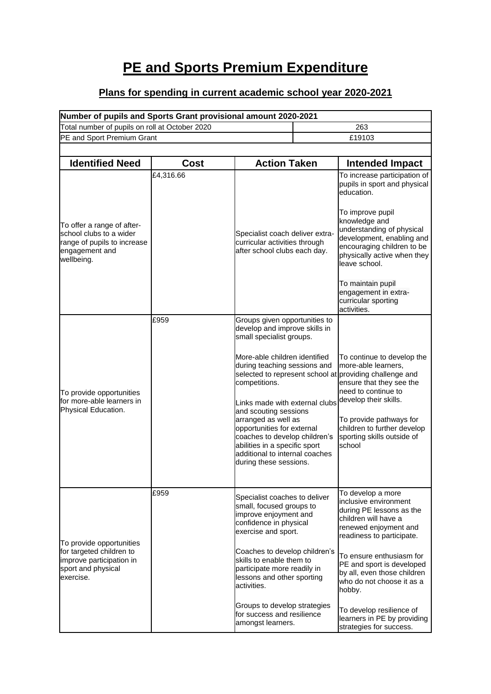## **PE and Sports Premium Expenditure**

## **Plans for spending in current academic school year 2020-2021**

| Number of pupils and Sports Grant provisional amount 2020-2021                                                       |                            |                                                                                                                                                                                                                                                                                                                                                                                                                                                                                       |  |                                                                                                                                                                                                                                                                                                                                                                           |  |  |  |
|----------------------------------------------------------------------------------------------------------------------|----------------------------|---------------------------------------------------------------------------------------------------------------------------------------------------------------------------------------------------------------------------------------------------------------------------------------------------------------------------------------------------------------------------------------------------------------------------------------------------------------------------------------|--|---------------------------------------------------------------------------------------------------------------------------------------------------------------------------------------------------------------------------------------------------------------------------------------------------------------------------------------------------------------------------|--|--|--|
| Total number of pupils on roll at October 2020                                                                       |                            |                                                                                                                                                                                                                                                                                                                                                                                                                                                                                       |  | 263                                                                                                                                                                                                                                                                                                                                                                       |  |  |  |
|                                                                                                                      | PE and Sport Premium Grant |                                                                                                                                                                                                                                                                                                                                                                                                                                                                                       |  | £19103                                                                                                                                                                                                                                                                                                                                                                    |  |  |  |
|                                                                                                                      |                            |                                                                                                                                                                                                                                                                                                                                                                                                                                                                                       |  |                                                                                                                                                                                                                                                                                                                                                                           |  |  |  |
| <b>Identified Need</b>                                                                                               | Cost                       | <b>Action Taken</b>                                                                                                                                                                                                                                                                                                                                                                                                                                                                   |  | <b>Intended Impact</b>                                                                                                                                                                                                                                                                                                                                                    |  |  |  |
| To offer a range of after-<br>school clubs to a wider<br>range of pupils to increase<br>engagement and<br>wellbeing. | £4,316.66                  | Specialist coach deliver extra-<br>curricular activities through<br>after school clubs each day.                                                                                                                                                                                                                                                                                                                                                                                      |  | To increase participation of<br>pupils in sport and physical<br>education.<br>To improve pupil<br>knowledge and<br>understanding of physical<br>development, enabling and<br>encouraging children to be<br>physically active when they<br>leave school.<br>To maintain pupil<br>engagement in extra-<br>curricular sporting<br>activities.                                |  |  |  |
| To provide opportunities<br>for more-able learners in<br>Physical Education.                                         | £959                       | Groups given opportunities to<br>develop and improve skills in<br>small specialist groups.<br>More-able children identified<br>during teaching sessions and<br>selected to represent school at providing challenge and<br>competitions.<br>Links made with external clubs<br>and scouting sessions<br>arranged as well as<br>opportunities for external<br>coaches to develop children's<br>abilities in a specific sport<br>additional to internal coaches<br>during these sessions. |  | To continue to develop the<br>more-able learners,<br>ensure that they see the<br>need to continue to<br>develop their skills.<br>To provide pathways for<br>children to further develop<br>sporting skills outside of<br>school                                                                                                                                           |  |  |  |
| To provide opportunities<br>for targeted children to<br>improve participation in<br>sport and physical<br>exercise.  | £959                       | Specialist coaches to deliver<br>small, focused groups to<br>improve enjoyment and<br>confidence in physical<br>exercise and sport.<br>Coaches to develop children's<br>skills to enable them to<br>participate more readily in<br>lessons and other sporting<br>activities.<br>Groups to develop strategies<br>for success and resilience<br>amongst learners.                                                                                                                       |  | To develop a more<br>inclusive environment<br>during PE lessons as the<br>children will have a<br>renewed enjoyment and<br>readiness to participate.<br>To ensure enthusiasm for<br>PE and sport is developed<br>by all, even those children<br>who do not choose it as a<br>hobby.<br>To develop resilience of<br>learners in PE by providing<br>strategies for success. |  |  |  |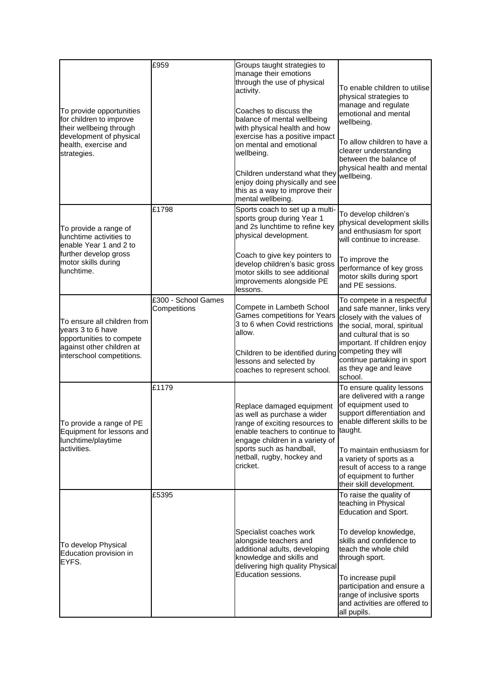|                                                                                                                                                  | £959                                | Groups taught strategies to                                                                                                                                                                                                                   |                                                                                                                                                                                                                                                                                                            |  |
|--------------------------------------------------------------------------------------------------------------------------------------------------|-------------------------------------|-----------------------------------------------------------------------------------------------------------------------------------------------------------------------------------------------------------------------------------------------|------------------------------------------------------------------------------------------------------------------------------------------------------------------------------------------------------------------------------------------------------------------------------------------------------------|--|
| To provide opportunities<br>for children to improve<br>their wellbeing through<br>development of physical<br>health, exercise and<br>strategies. |                                     | manage their emotions<br>through the use of physical<br>activity.<br>Coaches to discuss the<br>balance of mental wellbeing<br>with physical health and how<br>exercise has a positive impact<br>on mental and emotional<br>wellbeing.         | To enable children to utilise<br>physical strategies to<br>manage and regulate<br>emotional and mental<br>wellbeing.<br>To allow children to have a<br>clearer understanding<br>between the balance of<br>physical health and mental<br>wellbeing.                                                         |  |
|                                                                                                                                                  |                                     | Children understand what they<br>enjoy doing physically and see<br>this as a way to improve their<br>mental wellbeing.                                                                                                                        |                                                                                                                                                                                                                                                                                                            |  |
| To provide a range of<br>lunchtime activities to<br>enable Year 1 and 2 to<br>further develop gross<br>motor skills during<br>lunchtime.         | £1798                               | Sports coach to set up a multi-<br>sports group during Year 1<br>and 2s lunchtime to refine key<br>physical development.                                                                                                                      | To develop children's<br>physical development skills<br>and enthusiasm for sport<br>will continue to increase.                                                                                                                                                                                             |  |
|                                                                                                                                                  |                                     | Coach to give key pointers to<br>develop children's basic gross<br>motor skills to see additional<br>improvements alongside PE<br>lessons.                                                                                                    | To improve the<br>performance of key gross<br>motor skills during sport<br>and PE sessions.                                                                                                                                                                                                                |  |
| To ensure all children from<br>years 3 to 6 have<br>opportunities to compete<br>against other children at<br>interschool competitions.           | £300 - School Games<br>Competitions | Compete in Lambeth School<br><b>Games competitions for Years</b><br>3 to 6 when Covid restrictions<br>allow.<br>Children to be identified during competing they will<br>lessons and selected by<br>coaches to represent school.               | To compete in a respectful<br>and safe manner, links very<br>closely with the values of<br>the social, moral, spiritual<br>and cultural that is so<br>important. If children enjoy<br>continue partaking in sport<br>as they age and leave                                                                 |  |
| To provide a range of PE<br>Equipment for lessons and<br>lunchtime/playtime<br>activities.                                                       | £1179                               | Replace damaged equipment<br>as well as purchase a wider<br>range of exciting resources to<br>enable teachers to continue to taught.<br>engage children in a variety of<br>sports such as handball,<br>netball, rugby, hockey and<br>cricket. | school.<br>To ensure quality lessons<br>are delivered with a range<br>of equipment used to<br>support differentiation and<br>enable different skills to be<br>To maintain enthusiasm for<br>a variety of sports as a<br>result of access to a range<br>of equipment to further<br>their skill development. |  |
| To develop Physical<br>Education provision in<br>EYFS.                                                                                           | £5395                               | Specialist coaches work<br>alongside teachers and<br>additional adults, developing<br>knowledge and skills and<br>delivering high quality Physical<br>Education sessions.                                                                     | To raise the quality of<br>teaching in Physical<br>Education and Sport.<br>To develop knowledge,<br>skills and confidence to<br>teach the whole child<br>through sport.<br>To increase pupil<br>participation and ensure a<br>range of inclusive sports<br>and activities are offered to<br>all pupils.    |  |